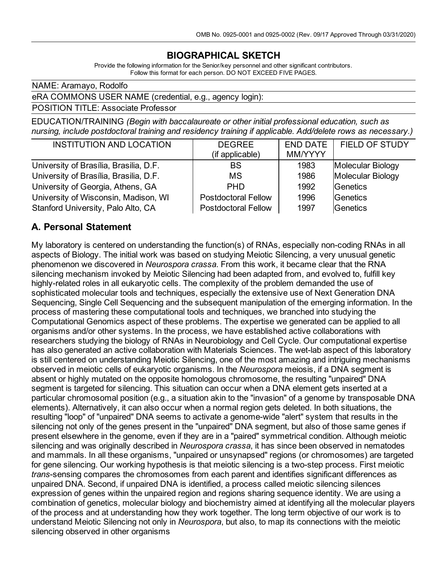## **BIOGRAPHICAL SKETCH**

Provide the following information for the Senior/key personnel and other significant contributors. Follow this format for each person. DO NOT EXCEED FIVE PAGES.

NAME: Aramayo, Rodolfo

#### eRA COMMONS USER NAME (credential, e.g., agency login):

POSITION TITLE: Associate Professor

EDUCATION/TRAINING *(Begin with baccalaureate or other initial professional education, such as nursing, include postdoctoral training and residency training if applicable. Add/delete rows as necessary.)*

| <b>INSTITUTION AND LOCATION</b>        | <b>DEGREE</b><br>(if applicable) | <b>END DATE</b><br>MM/YYYY | FIELD OF STUDY    |
|----------------------------------------|----------------------------------|----------------------------|-------------------|
| University of Brasília, Brasilia, D.F. | <b>BS</b>                        | 1983                       | Molecular Biology |
| University of Brasília, Brasilia, D.F. | <b>MS</b>                        | 1986                       | Molecular Biology |
| University of Georgia, Athens, GA      | <b>PHD</b>                       | 1992                       | Genetics          |
| University of Wisconsin, Madison, WI   | <b>Postdoctoral Fellow</b>       | 1996                       | Genetics          |
| Stanford University, Palo Alto, CA     | <b>Postdoctoral Fellow</b>       | 1997                       | Genetics          |

#### **A. Personal Statement**

My laboratory is centered on understanding the function(s) of RNAs, especially non-coding RNAs in all aspects of Biology. The initial work was based on studying Meiotic Silencing, a very unusual genetic phenomenon we discovered in *Neurospora crassa*. From this work, it became clear that the RNA silencing mechanism invoked by Meiotic Silencing had been adapted from, and evolved to, fulfill key highly-related roles in all eukaryotic cells. The complexity of the problem demanded the use of sophisticated molecular tools and techniques, especially the extensive use of Next Generation DNA Sequencing, Single Cell Sequencing and the subsequent manipulation of the emerging information. In the process of mastering these computational tools and techniques, we branched into studying the Computational Genomics aspect of these problems. The expertise we generated can be applied to all organisms and/or other systems. In the process, we have established active collaborations with researchers studying the biology of RNAs in Neurobiology and Cell Cycle. Our computational expertise has also generated an active collaboration with Materials Sciences. The wet-lab aspect of this laboratory is still centered on understanding Meiotic Silencing, one of the most amazing and intriguing mechanisms observed in meiotic cells of eukaryotic organisms. In the *Neurospora* meiosis, if a DNA segment is absent or highly mutated on the opposite homologous chromosome, the resulting "unpaired" DNA segment is targeted for silencing. This situation can occur when a DNA element gets inserted at a particular chromosomal position (e.g., a situation akin to the "invasion" of a genome by transposable DNA elements). Alternatively, it can also occur when a normal region gets deleted. In both situations, the resulting "loop" of "unpaired" DNA seems to activate a genome-wide "alert" system that results in the silencing not only of the genes present in the "unpaired" DNA segment, but also of those same genes if present elsewhere in the genome, even if they are in a "paired" symmetrical condition. Although meiotic silencing and was originally described in *Neurospora crassa*, it has since been observed in nematodes and mammals. In all these organisms, "unpaired or unsynapsed" regions (or chromosomes) are targeted for gene silencing. Our working hypothesis is that meiotic silencing is a two-step process. First meiotic *trans*-sensing compares the chromosomes from each parent and identifies significant differences as unpaired DNA. Second, if unpaired DNA is identified, a process called meiotic silencing silences expression of genes within the unpaired region and regions sharing sequence identity. We are using a combination of genetics, molecular biology and biochemistry aimed at identifying all the molecular players of the process and at understanding how they work together. The long term objective of our work is to understand Meiotic Silencing not only in *Neurospora*, but also, to map its connections with the meiotic silencing observed in other organisms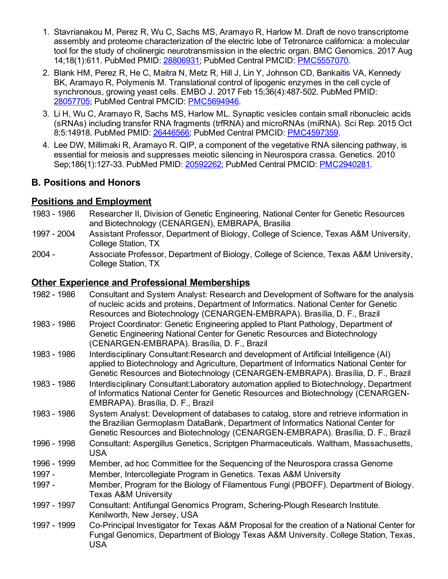- 1. Stavrianakou M, Perez R, Wu C, Sachs MS, Aramayo R, Harlow M. Draft de novo transcriptome assembly and proteome characterization of the electric lobe of Tetronarce californica: a molecular tool for the study of cholinergic neurotransmission in the electric organ. BMC Genomics. 2017 Aug 14;18(1):611. PubMed PMID: [28806931](http://www.ncbi.nlm.nih.gov/pubmed/28806931/); PubMed Central PMCID: [PMC5557070](http://www.ncbi.nlm.nih.gov/pmc/articles/PMC5557070/).
- 2. Blank HM, Perez R, He C, Maitra N, Metz R, Hill J, Lin Y, Johnson CD, Bankaitis VA, Kennedy BK, Aramayo R, Polymenis M. Translational control of lipogenic enzymes in the cell cycle of synchronous, growing yeast cells. EMBO J. 2017 Feb 15;36(4):487-502. PubMed PMID: [28057705](http://www.ncbi.nlm.nih.gov/pubmed/28057705/); PubMed Central PMCID: [PMC5694946](http://www.ncbi.nlm.nih.gov/pmc/articles/PMC5694946/).
- 3. Li H, Wu C, Aramayo R, Sachs MS, Harlow ML. Synaptic vesicles contain small ribonucleic acids (sRNAs) including transfer RNA fragments (trfRNA) and microRNAs (miRNA). Sci Rep. 2015 Oct 8;5:14918. PubMed PMID: [26446566;](http://www.ncbi.nlm.nih.gov/pubmed/26446566/) PubMed Central PMCID: [PMC4597359](http://www.ncbi.nlm.nih.gov/pmc/articles/PMC4597359/).
- 4. Lee DW, Millimaki R, Aramayo R. QIP, a component of the vegetative RNA silencing pathway, is essential for meiosis and suppresses meiotic silencing in Neurospora crassa. Genetics. 2010 Sep;186(1):127-33. PubMed PMID: [20592262](http://www.ncbi.nlm.nih.gov/pubmed/20592262/); PubMed Central PMCID: [PMC2940281](http://www.ncbi.nlm.nih.gov/pmc/articles/PMC2940281/).

## **B. Positions and Honors**

## **Positions and Employment**

- 1983 1986 Researcher II, Division of Genetic Engineering, National Center for Genetic Resources and Biotechnology (CENARGEN), EMBRAPA, Brasilia
- 1997 2004 Assistant Professor, Department of Biology, College of Science, Texas A&M University, College Station, TX
- 2004 Associate Professor, Department of Biology, College of Science, Texas A&M University, College Station, TX

### **Other Experience and Professional Memberships**

| 1982 - 1986 | Consultant and System Analyst: Research and Development of Software for the analysis<br>of nucleic acids and proteins, Department of Informatics. National Center for Genetic<br>Resources and Biotechnology (CENARGEN-EMBRAPA). Brasília, D. F., Brazil             |
|-------------|----------------------------------------------------------------------------------------------------------------------------------------------------------------------------------------------------------------------------------------------------------------------|
| 1983 - 1986 | Project Coordinator: Genetic Engineering applied to Plant Pathology, Department of<br>Genetic Engineering National Center for Genetic Resources and Biotechnology<br>(CENARGEN-EMBRAPA). Brasília, D. F., Brazil                                                     |
| 1983 - 1986 | Interdisciplinary Consultant: Research and development of Artificial Intelligence (AI)<br>applied to Biotechnology and Agriculture, Department of Informatics National Center for<br>Genetic Resources and Biotechnology (CENARGEN-EMBRAPA). Brasília, D. F., Brazil |
| 1983 - 1986 | Interdisciplinary Consultant: Laboratory automation applied to Biotechnology, Department<br>of Informatics National Center for Genetic Resources and Biotechnology (CENARGEN-<br>EMBRAPA). Brasília, D. F., Brazil                                                   |
| 1983 - 1986 | System Analyst: Development of databases to catalog, store and retrieve information in<br>the Brazilian Germoplasm DataBank, Department of Informatics National Center for<br>Genetic Resources and Biotechnology (CENARGEN-EMBRAPA). Brasília, D. F., Brazil        |
| 1996 - 1998 | Consultant: Aspergillus Genetics, Scriptgen Pharmaceuticals. Waltham, Massachusetts,<br><b>USA</b>                                                                                                                                                                   |
| 1996 - 1999 | Member, ad hoc Committee for the Sequencing of the Neurospora crassa Genome                                                                                                                                                                                          |
| 1997 -      | Member, Intercollegiate Program in Genetics. Texas A&M University                                                                                                                                                                                                    |
| 1997 -      | Member, Program for the Biology of Filamentous Fungi (PBOFF). Department of Biology.<br><b>Texas A&amp;M University</b>                                                                                                                                              |
| 1997 - 1997 | Consultant: Antifungal Genomics Program, Schering-Plough Research Institute.<br>Kenilworth, New Jersey, USA                                                                                                                                                          |
| 1997 - 1999 | Co-Principal Investigator for Texas A&M Proposal for the creation of a National Center for<br>Fungal Genomics, Department of Biology Texas A&M University. College Station, Texas,<br><b>USA</b>                                                                     |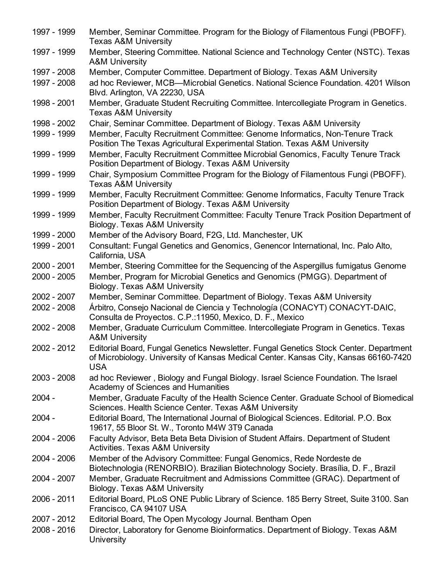| 1997 - 1999   | Member, Seminar Committee. Program for the Biology of Filamentous Fungi (PBOFF).<br><b>Texas A&amp;M University</b>                                                                         |
|---------------|---------------------------------------------------------------------------------------------------------------------------------------------------------------------------------------------|
| 1997 - 1999   | Member, Steering Committee. National Science and Technology Center (NSTC). Texas<br><b>A&amp;M University</b>                                                                               |
| 1997 - 2008   | Member, Computer Committee. Department of Biology. Texas A&M University                                                                                                                     |
| 1997 - 2008   | ad hoc Reviewer, MCB-Microbial Genetics. National Science Foundation. 4201 Wilson<br>Blvd. Arlington, VA 22230, USA                                                                         |
| 1998 - 2001   | Member, Graduate Student Recruiting Committee. Intercollegiate Program in Genetics.<br><b>Texas A&amp;M University</b>                                                                      |
| 1998 - 2002   | Chair, Seminar Committee. Department of Biology. Texas A&M University                                                                                                                       |
| 1999 - 1999   | Member, Faculty Recruitment Committee: Genome Informatics, Non-Tenure Track<br>Position The Texas Agricultural Experimental Station. Texas A&M University                                   |
| 1999 - 1999   | Member, Faculty Recruitment Committee Microbial Genomics, Faculty Tenure Track<br>Position Department of Biology. Texas A&M University                                                      |
| 1999 - 1999   | Chair, Symposium Committee Program for the Biology of Filamentous Fungi (PBOFF).<br><b>Texas A&amp;M University</b>                                                                         |
| 1999 - 1999   | Member, Faculty Recruitment Committee: Genome Informatics, Faculty Tenure Track<br>Position Department of Biology. Texas A&M University                                                     |
| 1999 - 1999   | Member, Faculty Recruitment Committee: Faculty Tenure Track Position Department of<br>Biology. Texas A&M University                                                                         |
| 1999 - 2000   | Member of the Advisory Board, F2G, Ltd. Manchester, UK                                                                                                                                      |
| 1999 - 2001   | Consultant: Fungal Genetics and Genomics, Genencor International, Inc. Palo Alto,<br>California, USA                                                                                        |
| $2000 - 2001$ | Member, Steering Committee for the Sequencing of the Aspergillus fumigatus Genome                                                                                                           |
| 2000 - 2005   | Member, Program for Microbial Genetics and Genomics (PMGG). Department of<br>Biology. Texas A&M University                                                                                  |
| 2002 - 2007   | Member, Seminar Committee. Department of Biology. Texas A&M University                                                                                                                      |
| 2002 - 2008   | Árbitro, Consejo Nacional de Ciencia y Technología (CONACYT) CONACYT-DAIC,<br>Consulta de Proyectos. C.P.:11950, Mexico, D. F., Mexico                                                      |
| 2002 - 2008   | Member, Graduate Curriculum Committee. Intercollegiate Program in Genetics. Texas<br><b>A&amp;M University</b>                                                                              |
| 2002 - 2012   | Editorial Board, Fungal Genetics Newsletter. Fungal Genetics Stock Center. Department<br>of Microbiology. University of Kansas Medical Center. Kansas City, Kansas 66160-7420<br><b>USA</b> |
| $2003 - 2008$ | ad hoc Reviewer, Biology and Fungal Biology. Israel Science Foundation. The Israel<br>Academy of Sciences and Humanities                                                                    |
| $2004 -$      | Member, Graduate Faculty of the Health Science Center. Graduate School of Biomedical<br>Sciences. Health Science Center. Texas A&M University                                               |
| $2004 -$      | Editorial Board, The International Journal of Biological Sciences. Editorial. P.O. Box<br>19617, 55 Bloor St. W., Toronto M4W 3T9 Canada                                                    |
| 2004 - 2006   | Faculty Advisor, Beta Beta Beta Division of Student Affairs. Department of Student<br><b>Activities. Texas A&amp;M University</b>                                                           |
| $2004 - 2006$ | Member of the Advisory Committee: Fungal Genomics, Rede Nordeste de<br>Biotechnologia (RENORBIO). Brazilian Biotechnology Society. Brasília, D. F., Brazil                                  |
| 2004 - 2007   | Member, Graduate Recruitment and Admissions Committee (GRAC). Department of<br>Biology. Texas A&M University                                                                                |
| 2006 - 2011   | Editorial Board, PLoS ONE Public Library of Science. 185 Berry Street, Suite 3100. San<br>Francisco, CA 94107 USA                                                                           |
| 2007 - 2012   | Editorial Board, The Open Mycology Journal. Bentham Open                                                                                                                                    |
| 2008 - 2016   | Director, Laboratory for Genome Bioinformatics. Department of Biology. Texas A&M<br>University                                                                                              |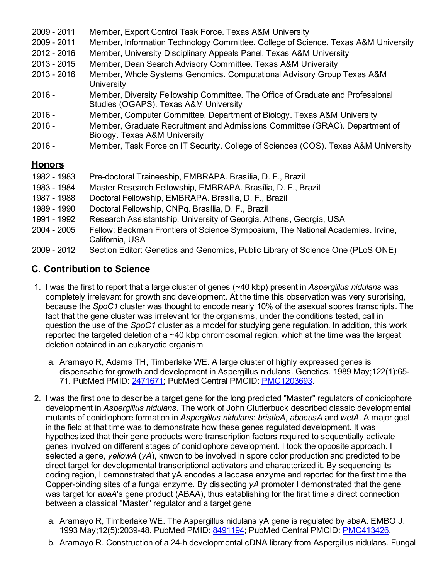| 2009 - 2011   | Member, Export Control Task Force. Texas A&M University                                                                  |
|---------------|--------------------------------------------------------------------------------------------------------------------------|
| 2009 - 2011   | Member, Information Technology Committee. College of Science, Texas A&M University                                       |
| 2012 - 2016   | Member, University Disciplinary Appeals Panel. Texas A&M University                                                      |
| 2013 - 2015   | Member, Dean Search Advisory Committee. Texas A&M University                                                             |
| 2013 - 2016   | Member, Whole Systems Genomics. Computational Advisory Group Texas A&M<br>University                                     |
| 2016 -        | Member, Diversity Fellowship Committee. The Office of Graduate and Professional<br>Studies (OGAPS). Texas A&M University |
| 2016 -        | Member, Computer Committee. Department of Biology. Texas A&M University                                                  |
| $2016 -$      | Member, Graduate Recruitment and Admissions Committee (GRAC). Department of<br>Biology. Texas A&M University             |
| $2016 -$      | Member, Task Force on IT Security. College of Sciences (COS). Texas A&M University                                       |
| <u>Honors</u> |                                                                                                                          |
| 1982 - 1983   | Pre-doctoral Traineeship, EMBRAPA. Brasília, D. F., Brazil                                                               |
| 1983 - 1984   | Master Research Fellowship, EMBRAPA. Brasília, D. F., Brazil                                                             |
| 1987 - 1988   | Doctoral Fellowship, EMBRAPA. Brasília, D. F., Brazil                                                                    |
| 1989 - 1990   | Doctoral Fellowship, CNPq. Brasília, D. F., Brazil                                                                       |
| 1991 - 1992   | Research Assistantship, University of Georgia. Athens, Georgia, USA                                                      |
| 2004 - 2005   | Fellow: Beckman Frontiers of Science Symposium, The National Academies. Irvine,<br>California, USA                       |

2009 - 2012 Section Editor: Genetics and Genomics, Public Library of Science One (PLoS ONE)

# **C. Contribution to Science**

- 1. I was the first to report that a large cluster of genes (~40 kbp) present in *Aspergillus nidulans* was completely irrelevant for growth and development. At the time this observation was very surprising, because the *SpoC1* cluster was thought to encode nearly 10% of the asexual spores transcripts. The fact that the gene cluster was irrelevant for the organisms, under the conditions tested, call in question the use of the *SpoC1* cluster as a model for studying gene regulation. In addition, this work reported the targeted deletion of a ~40 kbp chromosomal region, which at the time was the largest deletion obtained in an eukaryotic organism
	- a. Aramayo R, Adams TH, Timberlake WE. A large cluster of highly expressed genes is dispensable for growth and development in Aspergillus nidulans. Genetics. 1989 May;122(1):65- 71. PubMed PMID: [2471671](http://www.ncbi.nlm.nih.gov/pubmed/2471671/); PubMed Central PMCID: [PMC1203693.](http://www.ncbi.nlm.nih.gov/pmc/articles/PMC1203693/)
- 2. I was the first one to describe a target gene for the long predicted "Master" regulators of conidiophore development in *Aspergillus nidulans*. The work of John Clutterbuck described classic developmental mutants of conidiophore formation in *Aspergillus nidulans*: *bristleA*, *abacusA* and *wetA*. A major goal in the field at that time was to demonstrate how these genes regulated development. It was hypothesized that their gene products were transcription factors required to sequentially activate genes involved on different stages of conidiophore development. I took the opposite approach. I selected a gene, *yellowA* (*yA*), knwon to be involved in spore color production and predicted to be direct target for developmental transcriptional activators and characterized it. By sequencing its coding region, I demonstrated that yA encodes a laccase enzyme and reported for the first time the Copper-binding sites of a fungal enzyme. By dissecting *yA* promoter I demonstrated that the gene was target for *abaA*'s gene product (ABAA), thus establishing for the first time a direct connection between a classical "Master" regulator and a target gene
	- a. Aramayo R, Timberlake WE. The Aspergillus nidulans yA gene is regulated by abaA. EMBO J. 1993 May;12(5):2039-48. PubMed PMID: [8491194](http://www.ncbi.nlm.nih.gov/pubmed/8491194/); PubMed Central PMCID: [PMC413426](http://www.ncbi.nlm.nih.gov/pmc/articles/PMC413426/).
	- b. Aramayo R. Construction of a 24-h developmental cDNA library from Aspergillus nidulans. Fungal